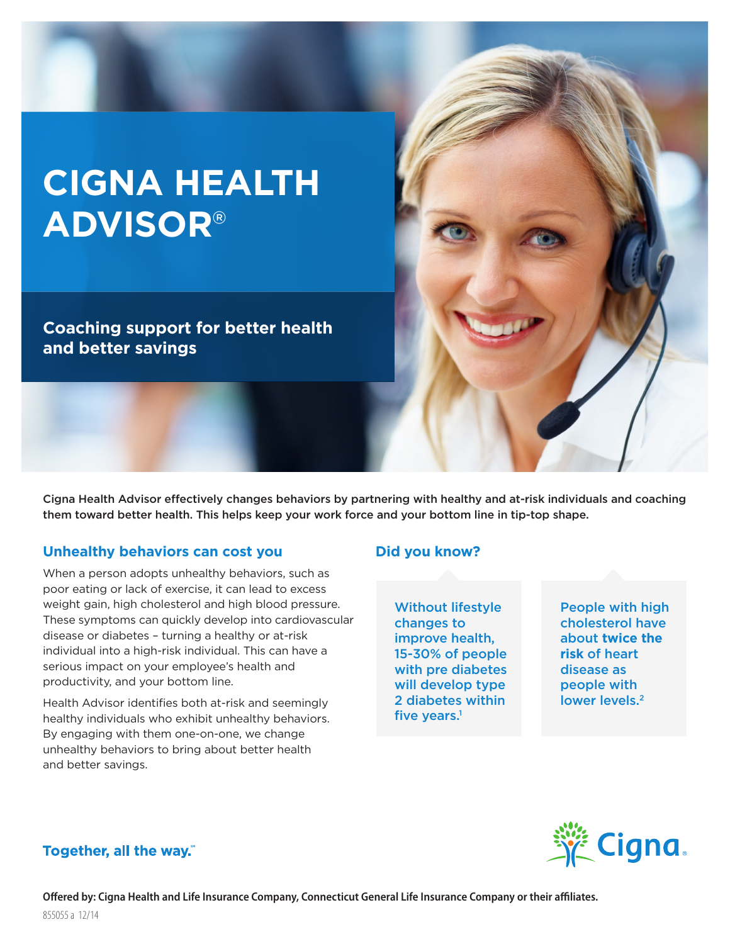# **CIGNA HEALTH ADVISOR**®

**Coaching support for better health and better savings**

Cigna Health Advisor effectively changes behaviors by partnering with healthy and at-risk individuals and coaching them toward better health. This helps keep your work force and your bottom line in tip-top shape.

#### **Unhealthy behaviors can cost you**

When a person adopts unhealthy behaviors, such as poor eating or lack of exercise, it can lead to excess weight gain, high cholesterol and high blood pressure. These symptoms can quickly develop into cardiovascular disease or diabetes – turning a healthy or at-risk individual into a high-risk individual. This can have a serious impact on your employee's health and productivity, and your bottom line.

Health Advisor identifies both at-risk and seemingly healthy individuals who exhibit unhealthy behaviors. By engaging with them one-on-one, we change unhealthy behaviors to bring about better health and better savings.

#### **Did you know?**

Without lifestyle changes to improve health, 15-30% of people with pre diabetes will develop type 2 diabetes within five vears. $<sup>1</sup>$ </sup>

People with high cholesterol have about **twice the risk** of heart disease as people with lower levels.<sup>2</sup>



#### Together, all the way."